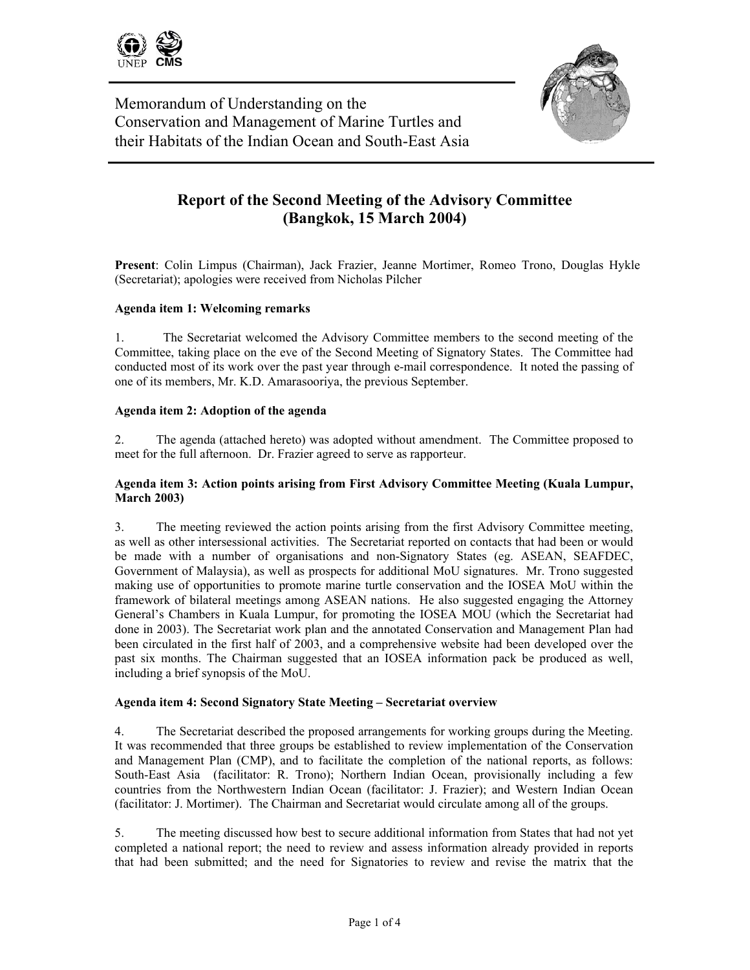



Memorandum of Understanding on the Conservation and Management of Marine Turtles and their Habitats of the Indian Ocean and South-East Asia

# **Report of the Second Meeting of the Advisory Committee (Bangkok, 15 March 2004)**

**Present**: Colin Limpus (Chairman), Jack Frazier, Jeanne Mortimer, Romeo Trono, Douglas Hykle (Secretariat); apologies were received from Nicholas Pilcher

## **Agenda item 1: Welcoming remarks**

1. The Secretariat welcomed the Advisory Committee members to the second meeting of the Committee, taking place on the eve of the Second Meeting of Signatory States. The Committee had conducted most of its work over the past year through e-mail correspondence. It noted the passing of one of its members, Mr. K.D. Amarasooriya, the previous September.

## **Agenda item 2: Adoption of the agenda**

2. The agenda (attached hereto) was adopted without amendment. The Committee proposed to meet for the full afternoon. Dr. Frazier agreed to serve as rapporteur.

## **Agenda item 3: Action points arising from First Advisory Committee Meeting (Kuala Lumpur, March 2003)**

3. The meeting reviewed the action points arising from the first Advisory Committee meeting, as well as other intersessional activities. The Secretariat reported on contacts that had been or would be made with a number of organisations and non-Signatory States (eg. ASEAN, SEAFDEC, Government of Malaysia), as well as prospects for additional MoU signatures. Mr. Trono suggested making use of opportunities to promote marine turtle conservation and the IOSEA MoU within the framework of bilateral meetings among ASEAN nations. He also suggested engaging the Attorney General's Chambers in Kuala Lumpur, for promoting the IOSEA MOU (which the Secretariat had done in 2003). The Secretariat work plan and the annotated Conservation and Management Plan had been circulated in the first half of 2003, and a comprehensive website had been developed over the past six months. The Chairman suggested that an IOSEA information pack be produced as well, including a brief synopsis of the MoU.

#### **Agenda item 4: Second Signatory State Meeting – Secretariat overview**

4. The Secretariat described the proposed arrangements for working groups during the Meeting. It was recommended that three groups be established to review implementation of the Conservation and Management Plan (CMP), and to facilitate the completion of the national reports, as follows: South-East Asia (facilitator: R. Trono); Northern Indian Ocean, provisionally including a few countries from the Northwestern Indian Ocean (facilitator: J. Frazier); and Western Indian Ocean (facilitator: J. Mortimer). The Chairman and Secretariat would circulate among all of the groups.

5. The meeting discussed how best to secure additional information from States that had not yet completed a national report; the need to review and assess information already provided in reports that had been submitted; and the need for Signatories to review and revise the matrix that the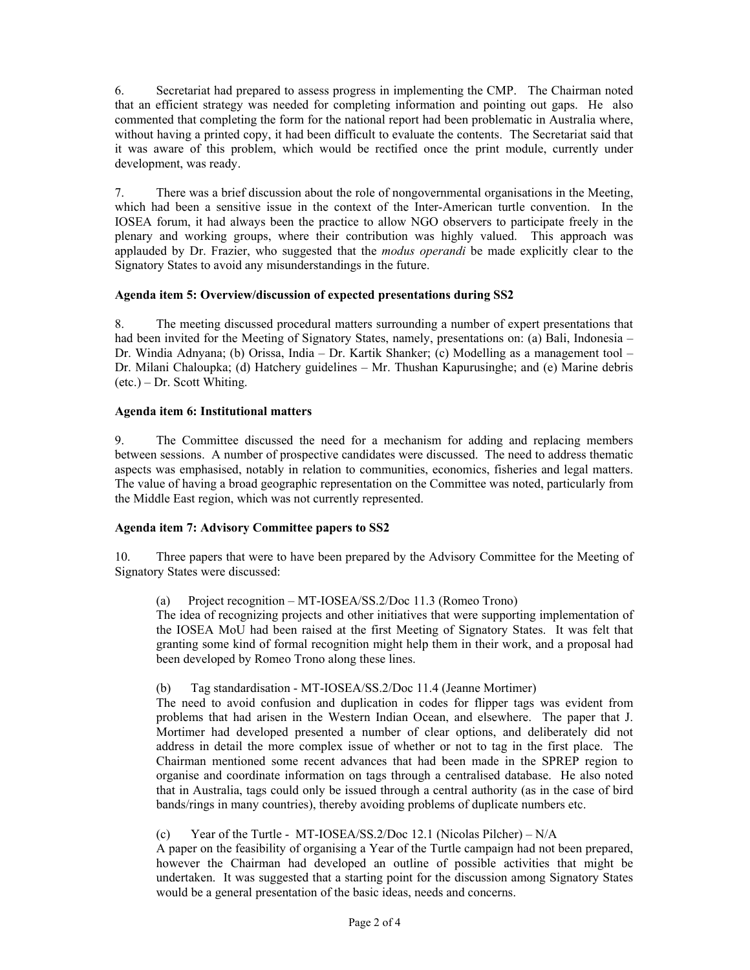6. Secretariat had prepared to assess progress in implementing the CMP.The Chairman noted that an efficient strategy was needed for completing information and pointing out gaps. He also commented that completing the form for the national report had been problematic in Australia where, without having a printed copy, it had been difficult to evaluate the contents. The Secretariat said that it was aware of this problem, which would be rectified once the print module, currently under development, was ready.

7. There was a brief discussion about the role of nongovernmental organisations in the Meeting, which had been a sensitive issue in the context of the Inter-American turtle convention. In the IOSEA forum, it had always been the practice to allow NGO observers to participate freely in the plenary and working groups, where their contribution was highly valued. This approach was applauded by Dr. Frazier, who suggested that the *modus operandi* be made explicitly clear to the Signatory States to avoid any misunderstandings in the future.

## **Agenda item 5: Overview/discussion of expected presentations during SS2**

8. The meeting discussed procedural matters surrounding a number of expert presentations that had been invited for the Meeting of Signatory States, namely, presentations on: (a) Bali, Indonesia – Dr. Windia Adnyana; (b) Orissa, India – Dr. Kartik Shanker; (c) Modelling as a management tool – Dr. Milani Chaloupka; (d) Hatchery guidelines – Mr. Thushan Kapurusinghe; and (e) Marine debris (etc.) – Dr. Scott Whiting.

## **Agenda item 6: Institutional matters**

9. The Committee discussed the need for a mechanism for adding and replacing members between sessions. A number of prospective candidates were discussed. The need to address thematic aspects was emphasised, notably in relation to communities, economics, fisheries and legal matters. The value of having a broad geographic representation on the Committee was noted, particularly from the Middle East region, which was not currently represented.

# **Agenda item 7: Advisory Committee papers to SS2**

10. Three papers that were to have been prepared by the Advisory Committee for the Meeting of Signatory States were discussed:

#### (a) Project recognition – MT-IOSEA/SS.2/Doc 11.3 (Romeo Trono)

The idea of recognizing projects and other initiatives that were supporting implementation of the IOSEA MoU had been raised at the first Meeting of Signatory States. It was felt that granting some kind of formal recognition might help them in their work, and a proposal had been developed by Romeo Trono along these lines.

#### (b) Tag standardisation - MT-IOSEA/SS.2/Doc 11.4 (Jeanne Mortimer)

The need to avoid confusion and duplication in codes for flipper tags was evident from problems that had arisen in the Western Indian Ocean, and elsewhere. The paper that J. Mortimer had developed presented a number of clear options, and deliberately did not address in detail the more complex issue of whether or not to tag in the first place. The Chairman mentioned some recent advances that had been made in the SPREP region to organise and coordinate information on tags through a centralised database. He also noted that in Australia, tags could only be issued through a central authority (as in the case of bird bands/rings in many countries), thereby avoiding problems of duplicate numbers etc.

# (c) Year of the Turtle - MT-IOSEA/SS.2/Doc 12.1 (Nicolas Pilcher) – N/A

A paper on the feasibility of organising a Year of the Turtle campaign had not been prepared, however the Chairman had developed an outline of possible activities that might be undertaken. It was suggested that a starting point for the discussion among Signatory States would be a general presentation of the basic ideas, needs and concerns.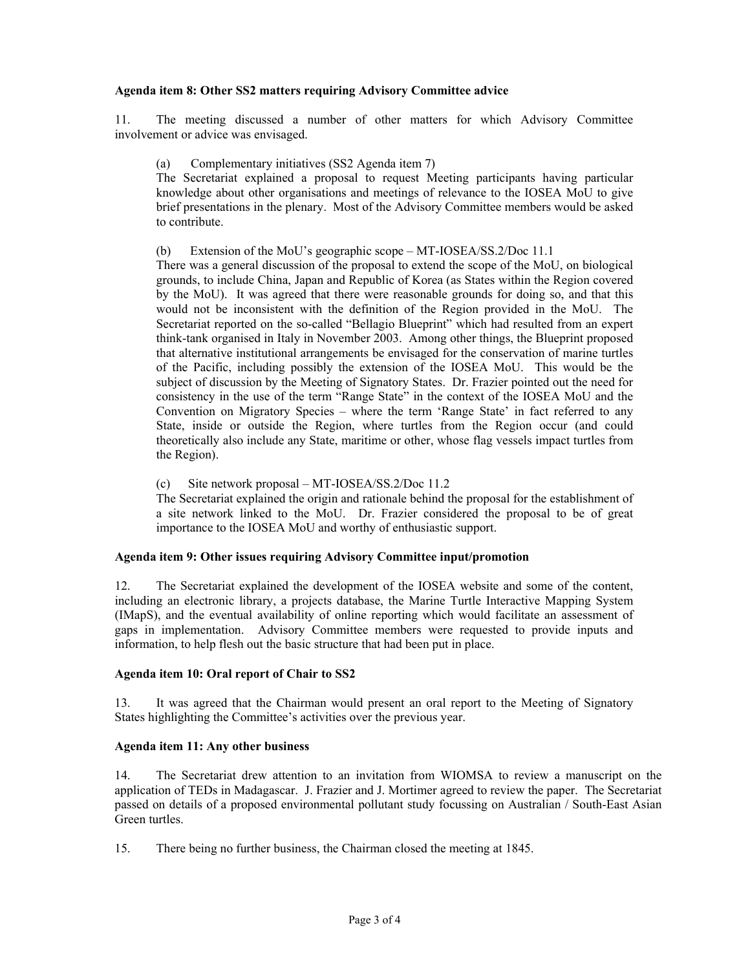#### **Agenda item 8: Other SS2 matters requiring Advisory Committee advice**

11. The meeting discussed a number of other matters for which Advisory Committee involvement or advice was envisaged.

(a) Complementary initiatives (SS2 Agenda item 7)

The Secretariat explained a proposal to request Meeting participants having particular knowledge about other organisations and meetings of relevance to the IOSEA MoU to give brief presentations in the plenary. Most of the Advisory Committee members would be asked to contribute.

(b) Extension of the MoU's geographic scope – MT-IOSEA/SS.2/Doc 11.1

There was a general discussion of the proposal to extend the scope of the MoU, on biological grounds, to include China, Japan and Republic of Korea (as States within the Region covered by the MoU). It was agreed that there were reasonable grounds for doing so, and that this would not be inconsistent with the definition of the Region provided in the MoU. The Secretariat reported on the so-called "Bellagio Blueprint" which had resulted from an expert think-tank organised in Italy in November 2003. Among other things, the Blueprint proposed that alternative institutional arrangements be envisaged for the conservation of marine turtles of the Pacific, including possibly the extension of the IOSEA MoU. This would be the subject of discussion by the Meeting of Signatory States. Dr. Frazier pointed out the need for consistency in the use of the term "Range State" in the context of the IOSEA MoU and the Convention on Migratory Species – where the term 'Range State' in fact referred to any State, inside or outside the Region, where turtles from the Region occur (and could theoretically also include any State, maritime or other, whose flag vessels impact turtles from the Region).

(c) Site network proposal – MT-IOSEA/SS.2/Doc 11.2

The Secretariat explained the origin and rationale behind the proposal for the establishment of a site network linked to the MoU. Dr. Frazier considered the proposal to be of great importance to the IOSEA MoU and worthy of enthusiastic support.

# **Agenda item 9: Other issues requiring Advisory Committee input/promotion**

12. The Secretariat explained the development of the IOSEA website and some of the content, including an electronic library, a projects database, the Marine Turtle Interactive Mapping System (IMapS), and the eventual availability of online reporting which would facilitate an assessment of gaps in implementation. Advisory Committee members were requested to provide inputs and information, to help flesh out the basic structure that had been put in place.

#### **Agenda item 10: Oral report of Chair to SS2**

13. It was agreed that the Chairman would present an oral report to the Meeting of Signatory States highlighting the Committee's activities over the previous year.

#### **Agenda item 11: Any other business**

14. The Secretariat drew attention to an invitation from WIOMSA to review a manuscript on the application of TEDs in Madagascar. J. Frazier and J. Mortimer agreed to review the paper. The Secretariat passed on details of a proposed environmental pollutant study focussing on Australian / South-East Asian Green turtles.

15. There being no further business, the Chairman closed the meeting at 1845.